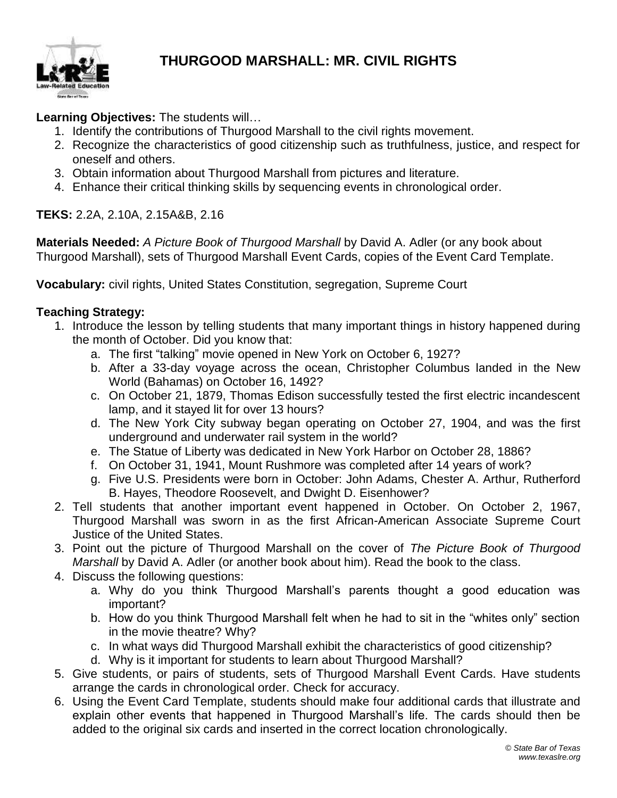

## **THURGOOD MARSHALL: MR. CIVIL RIGHTS**

**Learning Objectives:** The students will…

- 1. Identify the contributions of Thurgood Marshall to the civil rights movement.
- 2. Recognize the characteristics of good citizenship such as truthfulness, justice, and respect for oneself and others.
- 3. Obtain information about Thurgood Marshall from pictures and literature.
- 4. Enhance their critical thinking skills by sequencing events in chronological order.

**TEKS:** 2.2A, 2.10A, 2.15A&B, 2.16

**Materials Needed:** *A Picture Book of Thurgood Marshall* by David A. Adler (or any book about Thurgood Marshall), sets of Thurgood Marshall Event Cards, copies of the Event Card Template.

**Vocabulary:** civil rights, United States Constitution, segregation, Supreme Court

#### **Teaching Strategy:**

- 1. Introduce the lesson by telling students that many important things in history happened during the month of October. Did you know that:
	- a. The first "talking" movie opened in New York on October 6, 1927?
	- b. After a 33-day voyage across the ocean, Christopher Columbus landed in the New World (Bahamas) on October 16, 1492?
	- c. On October 21, 1879, Thomas Edison successfully tested the first electric incandescent lamp, and it stayed lit for over 13 hours?
	- d. The New York City subway began operating on October 27, 1904, and was the first underground and underwater rail system in the world?
	- e. The Statue of Liberty was dedicated in New York Harbor on October 28, 1886?
	- f. On October 31, 1941, Mount Rushmore was completed after 14 years of work?
	- g. Five U.S. Presidents were born in October: John Adams, Chester A. Arthur, Rutherford B. Hayes, Theodore Roosevelt, and Dwight D. Eisenhower?
- 2. Tell students that another important event happened in October. On October 2, 1967, Thurgood Marshall was sworn in as the first African-American Associate Supreme Court Justice of the United States.
- 3. Point out the picture of Thurgood Marshall on the cover of *The Picture Book of Thurgood Marshall* by David A. Adler (or another book about him). Read the book to the class.
- 4. Discuss the following questions:
	- a. Why do you think Thurgood Marshall's parents thought a good education was important?
	- b. How do you think Thurgood Marshall felt when he had to sit in the "whites only" section in the movie theatre? Why?
	- c. In what ways did Thurgood Marshall exhibit the characteristics of good citizenship?
	- d. Why is it important for students to learn about Thurgood Marshall?
- 5. Give students, or pairs of students, sets of Thurgood Marshall Event Cards. Have students arrange the cards in chronological order. Check for accuracy.
- 6. Using the Event Card Template, students should make four additional cards that illustrate and explain other events that happened in Thurgood Marshall's life. The cards should then be added to the original six cards and inserted in the correct location chronologically.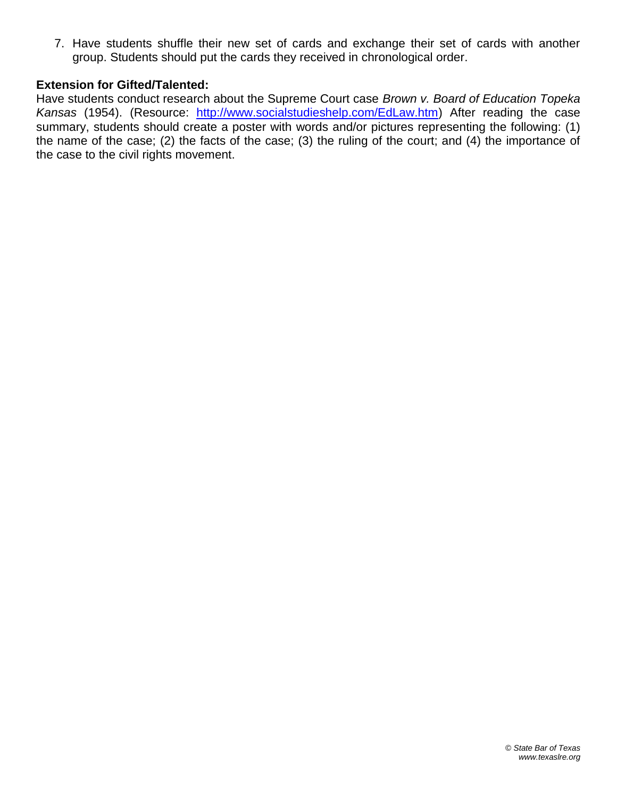7. Have students shuffle their new set of cards and exchange their set of cards with another group. Students should put the cards they received in chronological order.

#### **Extension for Gifted/Talented:**

Have students conduct research about the Supreme Court case *Brown v. Board of Education Topeka Kansas* (1954). (Resource: [http://www.socialstudieshelp.com/EdLaw.htm\)](http://www.socialstudieshelp.com/EdLaw.htm) After reading the case summary, students should create a poster with words and/or pictures representing the following: (1) the name of the case; (2) the facts of the case; (3) the ruling of the court; and (4) the importance of the case to the civil rights movement.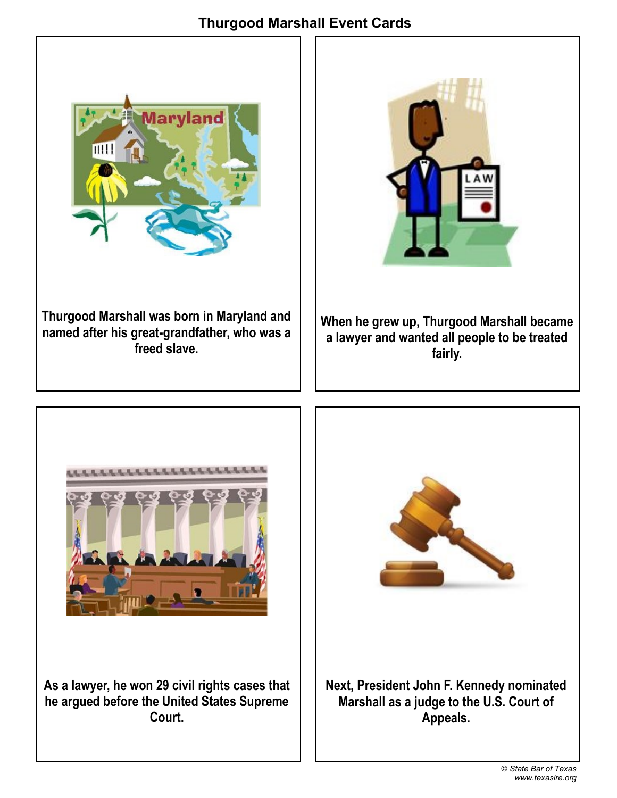### **Thurgood Marshall Event Cards**





**When he grew up, Thurgood Marshall became a lawyer and wanted all people to be treated fairly.** 



**As a lawyer, he won 29 civil rights cases that he argued before the United States Supreme Court.**

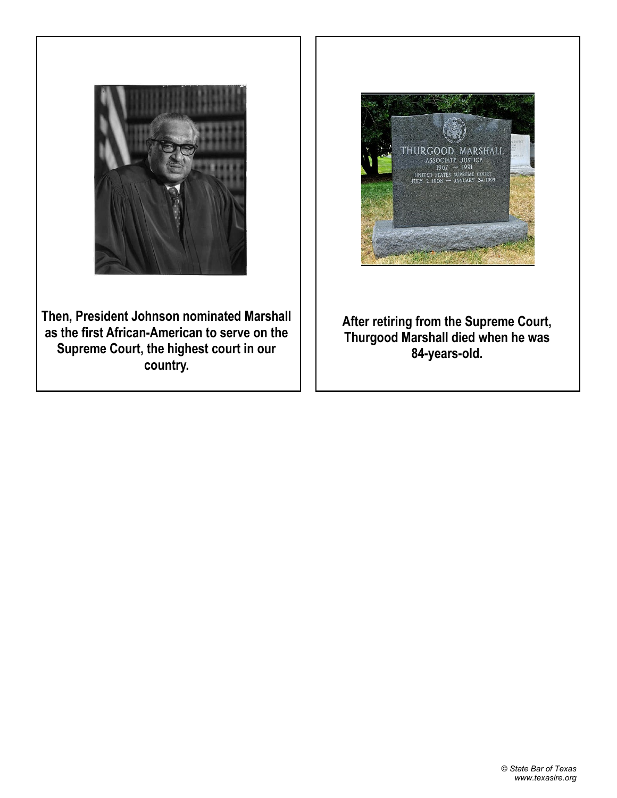

**Then, President Johnson nominated Marshall as the first African-American to serve on the Supreme Court, the highest court in our country.**



**After retiring from the Supreme Court, Thurgood Marshall died when he was 84-years-old.**